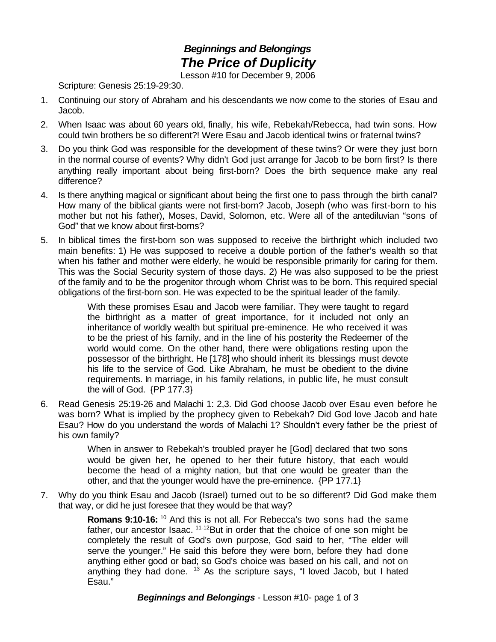## *Beginnings and Belongings The Price of Duplicity*

Lesson #10 for December 9, 2006

Scripture: Genesis 25:19-29:30.

- 1. Continuing our story of Abraham and his descendants we now come to the stories of Esau and Jacob.
- 2. When Isaac was about 60 years old, finally, his wife, Rebekah/Rebecca, had twin sons. How could twin brothers be so different?! Were Esau and Jacob identical twins or fraternal twins?
- 3. Do you think God was responsible for the development of these twins? Or were they just born in the normal course of events? Why didn't God just arrange for Jacob to be born first? Is there anything really important about being first-born? Does the birth sequence make any real difference?
- 4. Is there anything magical or significant about being the first one to pass through the birth canal? How many of the biblical giants were not first-born? Jacob, Joseph (who was first-born to his mother but not his father), Moses, David, Solomon, etc. Were all of the antediluvian "sons of God" that we know about first-borns?
- 5. In biblical times the first-born son was supposed to receive the birthright which included two main benefits: 1) He was supposed to receive a double portion of the father's wealth so that when his father and mother were elderly, he would be responsible primarily for caring for them. This was the Social Security system of those days. 2) He was also supposed to be the priest of the family and to be the progenitor through whom Christ was to be born. This required special obligations of the first-born son. He was expected to be the spiritual leader of the family.

With these promises Esau and Jacob were familiar. They were taught to regard the birthright as a matter of great importance, for it included not only an inheritance of worldly wealth but spiritual pre-eminence. He who received it was to be the priest of his family, and in the line of his posterity the Redeemer of the world would come. On the other hand, there were obligations resting upon the possessor of the birthright. He [178] who should inherit its blessings must devote his life to the service of God. Like Abraham, he must be obedient to the divine requirements. In marriage, in his family relations, in public life, he must consult the will of God. {PP 177.3}

6. Read Genesis 25:19-26 and Malachi 1: 2,3. Did God choose Jacob over Esau even before he was born? What is implied by the prophecy given to Rebekah? Did God love Jacob and hate Esau? How do you understand the words of Malachi 1? Shouldn't every father be the priest of his own family?

> When in answer to Rebekah's troubled prayer he [God] declared that two sons would be given her, he opened to her their future history, that each would become the head of a mighty nation, but that one would be greater than the other, and that the younger would have the pre-eminence. {PP 177.1}

7. Why do you think Esau and Jacob (Israel) turned out to be so different? Did God make them that way, or did he just foresee that they would be that way?

> **Romans 9:10-16:** <sup>10</sup> And this is not all. For Rebecca's two sons had the same father, our ancestor Isaac.  $11-12}$ But in order that the choice of one son might be completely the result of God's own purpose, God said to her, "The elder will serve the younger." He said this before they were born, before they had done anything either good or bad; so God's choice was based on his call, and not on anything they had done.  $13$  As the scripture says, "I loved Jacob, but I hated Esau."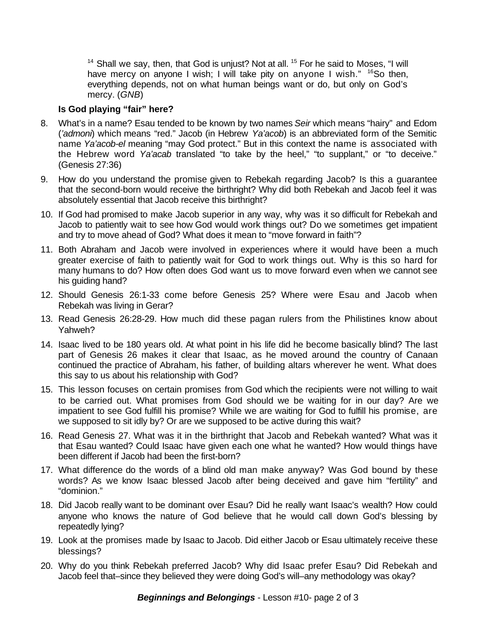<sup>14</sup> Shall we say, then, that God is unjust? Not at all. <sup>15</sup> For he said to Moses, "I will have mercy on anyone I wish; I will take pity on anyone I wish." <sup>16</sup>So then, everything depends, not on what human beings want or do, but only on God's mercy. (*GNB*)

## **Is God playing "fair" here?**

- 8. What's in a name? Esau tended to be known by two names *Seir* which means "hairy" and Edom (*'admoni*) which means "red." Jacob (in Hebrew *Ya'acob*) is an abbreviated form of the Semitic name *Ya'acob-el* meaning "may God protect." But in this context the name is associated with the Hebrew word *Ya'acab* translated "to take by the heel," "to supplant," or "to deceive." (Genesis 27:36)
- 9. How do you understand the promise given to Rebekah regarding Jacob? Is this a guarantee that the second-born would receive the birthright? Why did both Rebekah and Jacob feel it was absolutely essential that Jacob receive this birthright?
- 10. If God had promised to make Jacob superior in any way, why was it so difficult for Rebekah and Jacob to patiently wait to see how God would work things out? Do we sometimes get impatient and try to move ahead of God? What does it mean to "move forward in faith"?
- 11. Both Abraham and Jacob were involved in experiences where it would have been a much greater exercise of faith to patiently wait for God to work things out. Why is this so hard for many humans to do? How often does God want us to move forward even when we cannot see his guiding hand?
- 12. Should Genesis 26:1-33 come before Genesis 25? Where were Esau and Jacob when Rebekah was living in Gerar?
- 13. Read Genesis 26:28-29. How much did these pagan rulers from the Philistines know about Yahweh?
- 14. Isaac lived to be 180 years old. At what point in his life did he become basically blind? The last part of Genesis 26 makes it clear that Isaac, as he moved around the country of Canaan continued the practice of Abraham, his father, of building altars wherever he went. What does this say to us about his relationship with God?
- 15. This lesson focuses on certain promises from God which the recipients were not willing to wait to be carried out. What promises from God should we be waiting for in our day? Are we impatient to see God fulfill his promise? While we are waiting for God to fulfill his promise, are we supposed to sit idly by? Or are we supposed to be active during this wait?
- 16. Read Genesis 27. What was it in the birthright that Jacob and Rebekah wanted? What was it that Esau wanted? Could Isaac have given each one what he wanted? How would things have been different if Jacob had been the first-born?
- 17. What difference do the words of a blind old man make anyway? Was God bound by these words? As we know Isaac blessed Jacob after being deceived and gave him "fertility" and "dominion."
- 18. Did Jacob really want to be dominant over Esau? Did he really want Isaac's wealth? How could anyone who knows the nature of God believe that he would call down God's blessing by repeatedly lying?
- 19. Look at the promises made by Isaac to Jacob. Did either Jacob or Esau ultimately receive these blessings?
- 20. Why do you think Rebekah preferred Jacob? Why did Isaac prefer Esau? Did Rebekah and Jacob feel that–since they believed they were doing God's will–any methodology was okay?